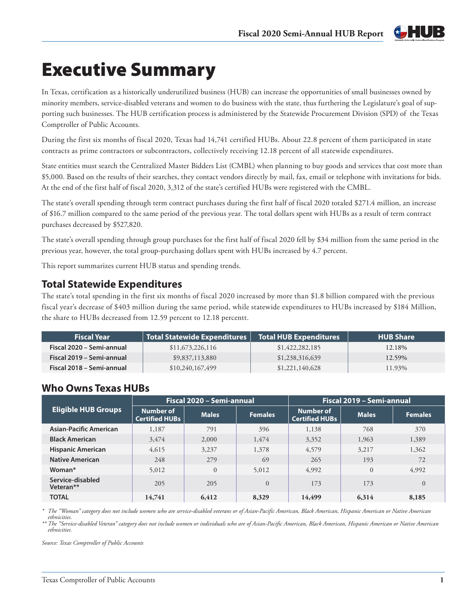

# Executive Summary

In Texas, certification as a historically underutilized business (HUB) can increase the opportunities of small businesses owned by minority members, service-disabled veterans and women to do business with the state, thus furthering the Legislature's goal of supporting such businesses. The HUB certification process is administered by the Statewide Procurement Division (SPD) of the Texas Comptroller of Public Accounts.

During the first six months of fiscal 2020, Texas had 14,741 certified HUBs. About 22.8 percent of them participated in state contracts as prime contractors or subcontractors, collectively receiving 12.18 percent of all statewide expenditures.

State entities must search the Centralized Master Bidders List (CMBL) when planning to buy goods and services that cost more than \$5,000. Based on the results of their searches, they contact vendors directly by mail, fax, email or telephone with invitations for bids. At the end of the first half of fiscal 2020, 3,312 of the state's certified HUBs were registered with the CMBL.

The state's overall spending through term contract purchases during the first half of fiscal 2020 totaled \$271.4 million, an increase of \$16.7 million compared to the same period of the previous year. The total dollars spent with HUBs as a result of term contract purchases decreased by \$527,820.

The state's overall spending through group purchases for the first half of fiscal 2020 fell by \$34 million from the same period in the previous year, however, the total group-purchasing dollars spent with HUBs increased by 4.7 percent.

This report summarizes current HUB status and spending trends.

## **Total Statewide Expenditures**

The state's total spending in the first six months of fiscal 2020 increased by more than \$1.8 billion compared with the previous fiscal year's decrease of \$403 million during the same period, while statewide expenditures to HUBs increased by \$184 Million, the share to HUBs decreased from 12.59 percent to 12.18 percentt.

| <b>Fiscal Year</b>        | Total Statewide Expenditures | Total HUB Expenditures | <b>HUB Share</b> |
|---------------------------|------------------------------|------------------------|------------------|
| Fiscal 2020 - Semi-annual | \$11,673,226,116             | \$1,422,282,185        | 12.18%           |
| Fiscal 2019 – Semi-annual | \$9,837,113,880              | \$1,238,316,639        | 12.59%           |
| Fiscal 2018 - Semi-annual | \$10,240,167,499             | \$1,221,140,628        | 11.93%           |

## **Who Owns Texas HUBs**

|                               | Fiscal 2020 - Semi-annual          |                |                | Fiscal 2019 - Semi-annual          |              |                |
|-------------------------------|------------------------------------|----------------|----------------|------------------------------------|--------------|----------------|
| <b>Eligible HUB Groups</b>    | Number of<br><b>Certified HUBs</b> | <b>Males</b>   | <b>Females</b> | Number of<br><b>Certified HUBs</b> | <b>Males</b> | <b>Females</b> |
| Asian-Pacific American        | 1,187                              | 791            | 396            | 1.138                              | 768          | 370            |
| <b>Black American</b>         | 3.474                              | 2,000          | 1,474          | 3,352                              | 1,963        | 1,389          |
| <b>Hispanic American</b>      | 4.615                              | 3,237          | 1,378          | 4,579                              | 3.217        | 1,362          |
| <b>Native American</b>        | 248                                | 279            | 69             | 265                                | 193          | 72             |
| Woman <sup>*</sup>            | 5.012                              | $\overline{0}$ | 5.012          | 4,992                              | $\theta$     | 4,992          |
| Service-disabled<br>Veteran** | 205                                | 205            | $\Omega$       | 173                                | 173          | $\Omega$       |
| <b>TOTAL</b>                  | 14,741                             | 6,412          | 8,329          | 14,499                             | 6,314        | 8,185          |

*\* The "Woman" category does not include women who are service-disabled veterans or of Asian-Pacific American, Black American, Hispanic American or Native American ethnicities.*

*\*\* The "Service-disabled Veteran" category does not include women or individuals who are of Asian-Pacific American, Black American, Hispanic American or Native American ethnicities.*

*Source: Texas Comptroller of Public Accounts*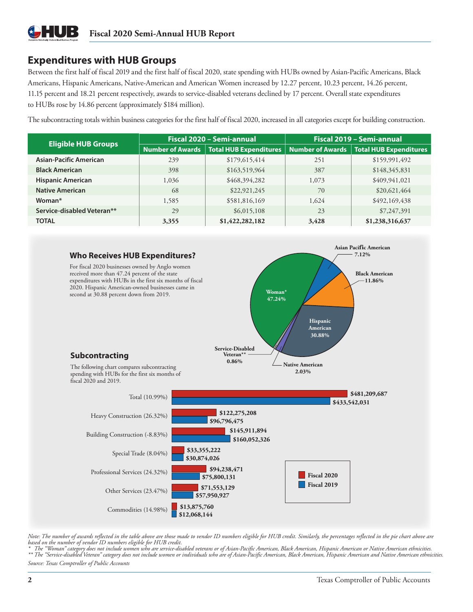## **Expenditures with HUB Groups**

Between the first half of fiscal 2019 and the first half of fiscal 2020, state spending with HUBs owned by Asian-Pacific Americans, Black Americans, Hispanic Americans, Native-American and American Women increased by 12.27 percent, 10.23 percent, 14.26 percent, 11.15 percent and 18.21 percent respectively, awards to service-disabled veterans declined by 17 percent. Overall state expenditures to HUBs rose by 14.86 percent (approximately \$184 million).

The subcontracting totals within business categories for the first half of fiscal 2020, increased in all categories except for building construction.

| <b>Eligible HUB Groups</b>    |                         | Fiscal 2020 - Semi-annual     | Fiscal 2019 - Semi-annual |                                           |
|-------------------------------|-------------------------|-------------------------------|---------------------------|-------------------------------------------|
|                               | <b>Number of Awards</b> | <b>Total HUB Expenditures</b> |                           | Number of Awards   Total HUB Expenditures |
| <b>Asian-Pacific American</b> | 239                     | \$179,615,414                 | 251                       | \$159,991,492                             |
| <b>Black American</b>         | 398                     | \$163,519,964                 | 387                       | \$148,345,831                             |
| <b>Hispanic American</b>      | 1,036                   | \$468,394,282                 | 1,073                     | \$409,941,021                             |
| <b>Native American</b>        | 68                      | \$22,921,245                  | 70                        | \$20,621,464                              |
| Woman <sup>*</sup>            | 1,585                   | \$581,816,169                 | 1,624                     | \$492,169,438                             |
| Service-disabled Veteran**    | 29                      | \$6,015,108                   | 23                        | \$7,247,391                               |
| <b>TOTAL</b>                  | 3,355                   | \$1,422,282,182               | 3,428                     | \$1,238,316,637                           |



*Note: The number of awards reflected in the table above are those made to vendor ID numbers eligible for HUB credit. Similarly, the percentages reflected in the pie chart above are based on the number of vendor ID numbers eligible for HUB credit.*

*\* The "Woman" category does not include women who are service-disabled veterans or of Asian-Pacific American, Black American, Hispanic American or Native American ethnicities. \*\* The "Service-disabled Veteran" category does not include women or individuals who are of Asian-Pacific American, Black American, Hispanic American and Native American ethnicities. Source: Texas Comptroller of Public Accounts*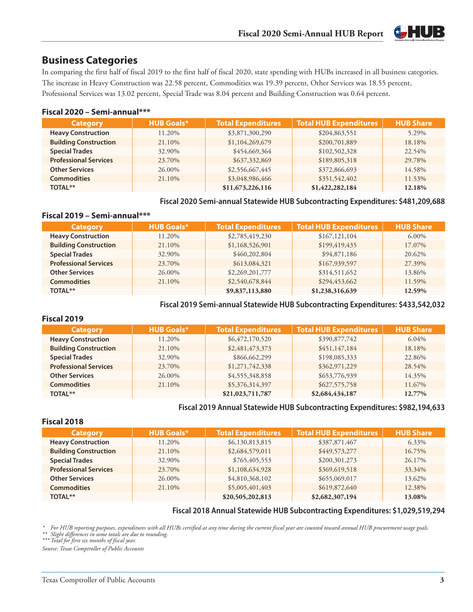

### **Business Categories**

In comparing the first half of fiscal 2019 to the first half of fiscal 2020, state spending with HUBs increased in all business categories. The increase in Heavy Construction was 22.58 percent, Commodities was 19.39 percent, Other Services was 18.55 percent, Professional Services was 13.02 percent, Special Trade was 8.04 percent and Building Construction was 0.64 percent.

#### **Fiscal 2020 – Semi-annual\*\*\***

| <b>Category</b>              | <b>HUB Goals*</b> | <b>Total Expenditures</b> | <b>Total HUB Expenditures</b> | <b>HUB Share</b> |
|------------------------------|-------------------|---------------------------|-------------------------------|------------------|
| <b>Heavy Construction</b>    | 11.20%            | \$3,871,300,290           | \$204,863,551                 | 5.29%            |
| <b>Building Construction</b> | 21.10%            | \$1,104,269,679           | \$200,701,889                 | 18.18%           |
| <b>Special Trades</b>        | 32.90%            | \$454,669,364             | \$102,502,328                 | 22.54%           |
| <b>Professional Services</b> | 23.70%            | \$637,332,869             | \$189,805,318                 | 29.78%           |
| <b>Other Services</b>        | 26.00%            | \$2,556,667,445           | \$372,866,693                 | 14.58%           |
| <b>Commodities</b>           | 21.10%            | \$3,048,986,466           | \$351,542,402                 | 11.53%           |
| TOTAL**                      |                   | \$11,673,226,116          | \$1,422,282,184               | 12.18%           |

#### **Fiscal 2020 Semi-annual Statewide HUB Subcontracting Expenditures: \$481,209,688**

#### **Fiscal 2019 – Semi-annual\*\*\***

| <b>Category</b>              | <b>HUB Goals*</b> | <b>Total Expenditures</b> | <b>Total HUB Expenditures</b> | <b>HUB Share</b> |
|------------------------------|-------------------|---------------------------|-------------------------------|------------------|
| <b>Heavy Construction</b>    | 11.20%            | \$2,785,419,230           | \$167,121,104                 | $6.00\%$         |
| <b>Building Construction</b> | 21.10%            | \$1,168,526,901           | \$199,419,435                 | 17.07%           |
| <b>Special Trades</b>        | 32.90%            | \$460,202,804             | \$94,871,186                  | 20.62%           |
| <b>Professional Services</b> | 23.70%            | \$613,084,321             | \$167,939,597                 | 27.39%           |
| <b>Other Services</b>        | 26.00%            | \$2,269,201,777           | \$314,511,652                 | 13.86%           |
| <b>Commodities</b>           | 21.10%            | \$2,540,678,844           | \$294,453,662                 | 11.59%           |
| <b>TOTAL**</b>               |                   | \$9,837,113,880           | \$1,238,316,639               | 12.59%           |

#### **Fiscal 2019 Semi-annual Statewide HUB Subcontracting Expenditures: \$433,542,032**

#### **Fiscal 2019**

| <b>Category</b>              | <b>HUB Goals*</b> | <b>Total Expenditures</b> | Total HUB Expenditures | <b>HUB Share</b> |
|------------------------------|-------------------|---------------------------|------------------------|------------------|
| <b>Heavy Construction</b>    | 11.20%            | \$6,472,170,520           | \$390,877,742          | 6.04%            |
| <b>Building Construction</b> | 21.10%            | \$2,481,473,373           | \$451,147,184          | 18.18%           |
| <b>Special Trades</b>        | 32.90%            | \$866,662,299             | \$198,085,333          | 22.86%           |
| <b>Professional Services</b> | 23.70%            | \$1,271,742,338           | \$362,971,229          | 28.54%           |
| <b>Other Services</b>        | 26.00%            | \$4,555,348,858           | \$653,776,939          | 14.35%           |
| <b>Commodities</b>           | 21.10%            | \$5,376,314,397           | \$627,575,758          | 11.67%           |
| <b>TOTAL**</b>               |                   | \$21,023,711,787          | \$2,684,434,187        | 12.77%           |

#### **Fiscal 2019 Annual Statewide HUB Subcontracting Expenditures: \$982,194,633**

#### **Fiscal 2018**

| <b>Category</b>              | <b>HUB Goals*</b> | <b>Total Expenditures</b> | <b>Total HUB Expenditures</b> | <b>HUB Share</b> |
|------------------------------|-------------------|---------------------------|-------------------------------|------------------|
| <b>Heavy Construction</b>    | 11.20%            | \$6,130,813,815           | \$387,871,467                 | 6.33%            |
| <b>Building Construction</b> | 21.10%            | \$2,684,579,011           | \$449,573,277                 | 16.75%           |
| <b>Special Trades</b>        | 32.90%            | \$765,405,553             | \$200,301,273                 | 26.17%           |
| <b>Professional Services</b> | 23.70%            | \$1,108,634,928           | \$369,619,518                 | 33.34%           |
| <b>Other Services</b>        | 26.00%            | \$4,810,368,102           | \$655,069,017                 | 13.62%           |
| <b>Commodities</b>           | 21.10%            | \$5,005,401,403           | \$619,872,640                 | 12.38%           |
| <b>TOTAL**</b>               |                   | \$20,505,202,813          | \$2,682,307,194               | 13.08%           |

#### **Fiscal 2018 Annual Statewide HUB Subcontracting Expenditures: \$1,029,519,294**

*\* For HUB reporting purposes, expenditures with all HUBs certified at any time during the current fiscal year are counted toward annual HUB procurement usage goals. \*\* Slight differences in some totals are due to rounding.*

*\*\*\* Total for first six months of fiscal year.*

*Source: Texas Comptroller of Public Accounts*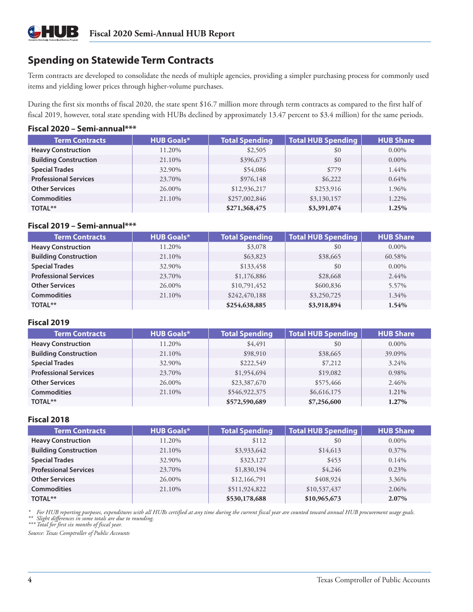## **Spending on Statewide Term Contracts**

Term contracts are developed to consolidate the needs of multiple agencies, providing a simpler purchasing process for commonly used items and yielding lower prices through higher-volume purchases.

During the first six months of fiscal 2020, the state spent \$16.7 million more through term contracts as compared to the first half of fiscal 2019, however, total state spending with HUBs declined by approximately 13.47 percent to \$3.4 million) for the same periods.

#### **Fiscal 2020 – Semi-annual\*\*\***

 $\star$ 

| <b>Term Contracts</b>        | <b>HUB Goals*</b> | <b>Total Spending</b> | <b>Total HUB Spending</b> | <b>HUB Share</b> |
|------------------------------|-------------------|-----------------------|---------------------------|------------------|
| <b>Heavy Construction</b>    | 11.20%            | \$2,505               | \$0                       | $0.00\%$         |
| <b>Building Construction</b> | 21.10%            | \$396,673             | \$0                       | $0.00\%$         |
| <b>Special Trades</b>        | 32.90%            | \$54,086              | \$779                     | 1.44%            |
| <b>Professional Services</b> | 23.70%            | \$976,148             | \$6,222                   | $0.64\%$         |
| <b>Other Services</b>        | 26.00%            | \$12,936,217          | \$253,916                 | 1.96%            |
| <b>Commodities</b>           | 21.10%            | \$257,002,846         | \$3,130,157               | 1.22%            |
| TOTAL**                      |                   | \$271,368,475         | \$3,391,074               | 1.25%            |

#### **Fiscal 2019 – Semi-annual\*\*\***

| <b>Term Contracts</b>        | <b>HUB Goals*</b> | <b>Total Spending</b> | <b>Total HUB Spending</b> | <b>HUB Share</b> |
|------------------------------|-------------------|-----------------------|---------------------------|------------------|
| <b>Heavy Construction</b>    | 11.20%            | \$3,078               | \$0                       | $0.00\%$         |
| <b>Building Construction</b> | 21.10%            | \$63,823              | \$38,665                  | 60.58%           |
| <b>Special Trades</b>        | 32.90%            | \$133,458             | \$0                       | $0.00\%$         |
| <b>Professional Services</b> | 23.70%            | \$1,176,886           | \$28,668                  | 2.44%            |
| <b>Other Services</b>        | 26.00%            | \$10,791,452          | \$600,836                 | 5.57%            |
| <b>Commodities</b>           | 21.10%            | \$242,470,188         | \$3,250,725               | 1.34%            |
| <b>TOTAL**</b>               |                   | \$254,638,885         | \$3,918,894               | 1.54%            |

#### **Fiscal 2019**

| <b>Term Contracts</b>        | <b>HUB Goals*</b> | <b>Total Spending</b> | <b>Total HUB Spending</b> | <b>HUB Share</b> |
|------------------------------|-------------------|-----------------------|---------------------------|------------------|
| <b>Heavy Construction</b>    | 11.20%            | \$4,491               | \$0                       | $0.00\%$         |
| <b>Building Construction</b> | 21.10%            | \$98,910              | \$38,665                  | 39.09%           |
| <b>Special Trades</b>        | 32.90%            | \$222,549             | \$7,212                   | 3.24%            |
| <b>Professional Services</b> | 23.70%            | \$1,954,694           | \$19,082                  | 0.98%            |
| <b>Other Services</b>        | 26.00%            | \$23,387,670          | \$575,466                 | 2.46%            |
| <b>Commodities</b>           | 21.10%            | \$546,922,375         | \$6,616,175               | 1.21%            |
| <b>TOTAL**</b>               |                   | \$572,590,689         | \$7,256,600               | 1.27%            |

#### **Fiscal 2018**

| <b>Term Contracts</b>        | <b>HUB Goals*</b> | <b>Total Spending</b> | <b>Total HUB Spending</b> | <b>HUB Share</b> |
|------------------------------|-------------------|-----------------------|---------------------------|------------------|
| <b>Heavy Construction</b>    | 11.20%            | \$112                 | \$0                       | $0.00\%$         |
| <b>Building Construction</b> | 21.10%            | \$3,933,642           | \$14,613                  | 0.37%            |
| <b>Special Trades</b>        | 32.90%            | \$323,127             | \$453                     | $0.14\%$         |
| <b>Professional Services</b> | 23.70%            | \$1,830,194           | \$4,246                   | $0.23\%$         |
| <b>Other Services</b>        | 26.00%            | \$12,166,791          | \$408,924                 | 3.36%            |
| <b>Commodities</b>           | 21.10%            | \$511,924,822         | \$10,537,437              | 2.06%            |
| TOTAL**                      |                   | \$530,178,688         | \$10,965,673              | 2.07%            |

\* For HUB reporting purposes, expenditures with all HUBs certified at any time during the current fiscal year are counted toward annual HUB procurement usage goals.<br>\*\* Slight differences in some totals are due to rounding.

*\*\*\* Total for first six months of fiscal year.*

*Source: Texas Comptroller of Public Accounts*